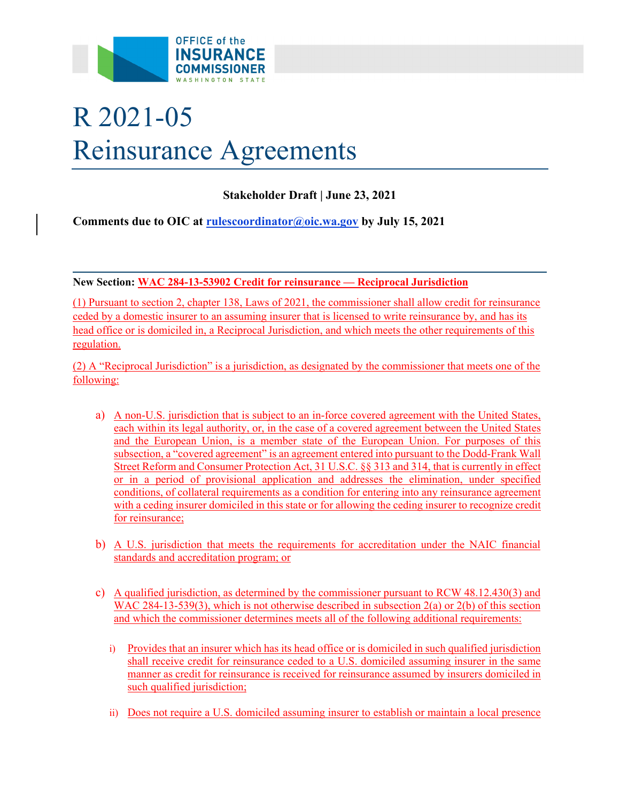

# R 2021-05 Reinsurance Agreements

# **Stakeholder Draft | June 23, 2021**

**Comments due to OIC at [rulescoordinator@oic.wa.gov](mailto:rulescoordinator@oic.wa.gov) by July 15, 2021** 

**New Section: WAC 284-13-53902 Credit for reinsurance — Reciprocal Jurisdiction** 

(1) Pursuant to section 2, chapter 138, Laws of 2021, the commissioner shall allow credit for reinsurance ceded by a domestic insurer to an assuming insurer that is licensed to write reinsurance by, and has its head office or is domiciled in, a Reciprocal Jurisdiction, and which meets the other requirements of this regulation.

(2) A "Reciprocal Jurisdiction" is a jurisdiction, as designated by the commissioner that meets one of the following:

- a) A non-U.S. jurisdiction that is subject to an in-force covered agreement with the United States, each within its legal authority, or, in the case of a covered agreement between the United States and the European Union, is a member state of the European Union. For purposes of this subsection, a "covered agreement" is an agreement entered into pursuant to the Dodd-Frank Wall Street Reform and Consumer Protection Act, 31 U.S.C. §§ 313 and 314, that is currently in effect or in a period of provisional application and addresses the elimination, under specified conditions, of collateral requirements as a condition for entering into any reinsurance agreement with a ceding insurer domiciled in this state or for allowing the ceding insurer to recognize credit for reinsurance;
- b) A U.S. jurisdiction that meets the requirements for accreditation under the NAIC financial standards and accreditation program; or
- c) A qualified jurisdiction, as determined by the commissioner pursuant to RCW 48.12.430(3) and WAC 284-13-539(3), which is not otherwise described in subsection  $2(a)$  or  $2(b)$  of this section and which the commissioner determines meets all of the following additional requirements:
	- i) Provides that an insurer which has its head office or is domiciled in such qualified jurisdiction shall receive credit for reinsurance ceded to a U.S. domiciled assuming insurer in the same manner as credit for reinsurance is received for reinsurance assumed by insurers domiciled in such qualified jurisdiction;
	- ii) Does not require a U.S. domiciled assuming insurer to establish or maintain a local presence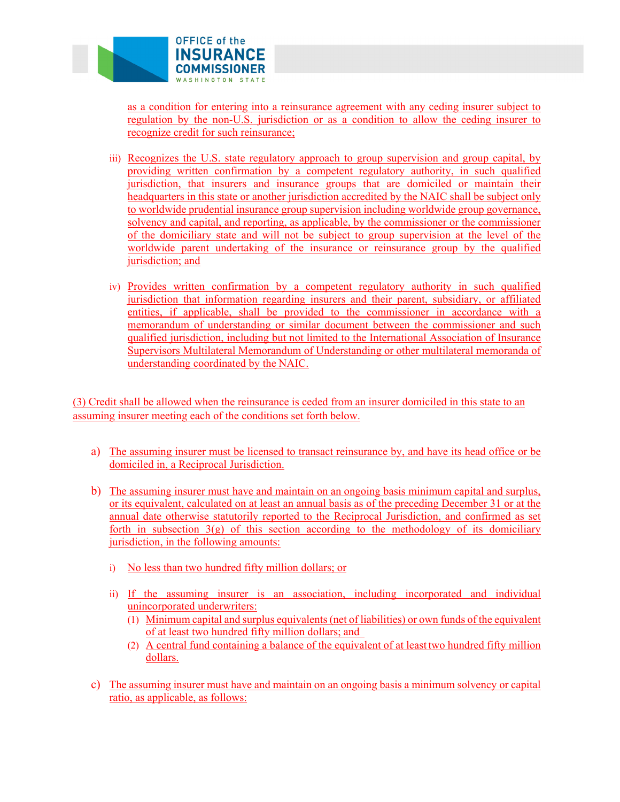

as a condition for entering into a reinsurance agreement with any ceding insurer subject to regulation by the non-U.S. jurisdiction or as a condition to allow the ceding insurer to recognize credit for such reinsurance;

- iii) Recognizes the U.S. state regulatory approach to group supervision and group capital, by providing written confirmation by a competent regulatory authority, in such qualified jurisdiction, that insurers and insurance groups that are domiciled or maintain their headquarters in this state or another jurisdiction accredited by the NAIC shall be subject only to worldwide prudential insurance group supervision including worldwide group governance, solvency and capital, and reporting, as applicable, by the commissioner or the commissioner of the domiciliary state and will not be subject to group supervision at the level of the worldwide parent undertaking of the insurance or reinsurance group by the qualified jurisdiction; and
- iv) Provides written confirmation by a competent regulatory authority in such qualified jurisdiction that information regarding insurers and their parent, subsidiary, or affiliated entities, if applicable, shall be provided to the commissioner in accordance with a memorandum of understanding or similar document between the commissioner and such qualified jurisdiction, including but not limited to the International Association of Insurance Supervisors Multilateral Memorandum of Understanding or other multilateral memoranda of understanding coordinated by the NAIC.

(3) Credit shall be allowed when the reinsurance is ceded from an insurer domiciled in this state to an assuming insurer meeting each of the conditions set forth below.

- a) The assuming insurer must be licensed to transact reinsurance by, and have its head office or be domiciled in, a Reciprocal Jurisdiction.
- b) The assuming insurer must have and maintain on an ongoing basis minimum capital and surplus, or its equivalent, calculated on at least an annual basis as of the preceding December 31 or at the annual date otherwise statutorily reported to the Reciprocal Jurisdiction, and confirmed as set forth in subsection  $3(g)$  of this section according to the methodology of its domiciliary jurisdiction, in the following amounts:
	- i) No less than two hundred fifty million dollars; or
	- ii) If the assuming insurer is an association, including incorporated and individual unincorporated underwriters:
		- (1) Minimum capital and surplus equivalents (net of liabilities) or own funds of the equivalent of at least two hundred fifty million dollars; and
		- (2) A central fund containing a balance of the equivalent of at least two hundred fifty million dollars.
- c) The assuming insurer must have and maintain on an ongoing basis a minimum solvency or capital ratio, as applicable, as follows: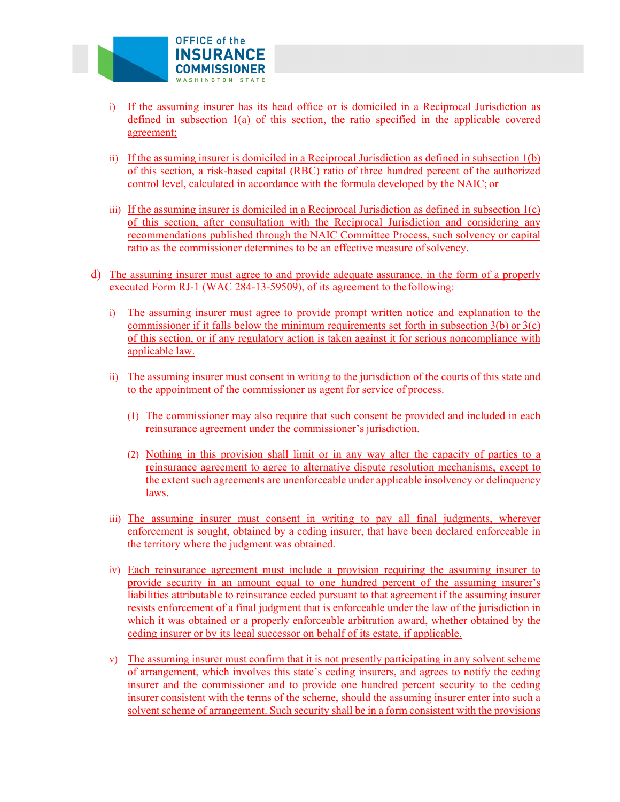

- i) If the assuming insurer has its head office or is domiciled in a Reciprocal Jurisdiction as defined in subsection 1(a) of this section, the ratio specified in the applicable covered agreement;
- ii) If the assuming insurer is domiciled in a Reciprocal Jurisdiction as defined in subsection 1(b) of this section, a risk-based capital (RBC) ratio of three hundred percent of the authorized control level, calculated in accordance with the formula developed by the NAIC; or
- iii) If the assuming insurer is domiciled in a Reciprocal Jurisdiction as defined in subsection  $1(c)$ of this section, after consultation with the Reciprocal Jurisdiction and considering any recommendations published through the NAIC Committee Process, such solvency or capital ratio as the commissioner determines to be an effective measure of solvency.
- d) The assuming insurer must agree to and provide adequate assurance, in the form of a properly executed Form RJ-1 (WAC 284-13-59509), of its agreement to the following:
	- i) The assuming insurer must agree to provide prompt written notice and explanation to the commissioner if it falls below the minimum requirements set forth in subsection  $3(b)$  or  $3(c)$ of this section, or if any regulatory action is taken against it for serious noncompliance with applicable law.
	- ii) The assuming insurer must consent in writing to the jurisdiction of the courts of this state and to the appointment of the commissioner as agent for service of process.
		- (1) The commissioner may also require that such consent be provided and included in each reinsurance agreement under the commissioner's jurisdiction.
		- (2) Nothing in this provision shall limit or in any way alter the capacity of parties to a reinsurance agreement to agree to alternative dispute resolution mechanisms, except to the extent such agreements are unenforceable under applicable insolvency or delinquency laws.
	- iii) The assuming insurer must consent in writing to pay all final judgments, wherever enforcement is sought, obtained by a ceding insurer, that have been declared enforceable in the territory where the judgment was obtained.
	- iv) Each reinsurance agreement must include a provision requiring the assuming insurer to provide security in an amount equal to one hundred percent of the assuming insurer's liabilities attributable to reinsurance ceded pursuant to that agreement if the assuming insurer resists enforcement of a final judgment that is enforceable under the law of the jurisdiction in which it was obtained or a properly enforceable arbitration award, whether obtained by the ceding insurer or by its legal successor on behalf of its estate, if applicable.
	- v) The assuming insurer must confirm that it is not presently participating in any solvent scheme of arrangement, which involves this state's ceding insurers, and agrees to notify the ceding insurer and the commissioner and to provide one hundred percent security to the ceding insurer consistent with the terms of the scheme, should the assuming insurer enter into such a solvent scheme of arrangement. Such security shall be in a form consistent with the provisions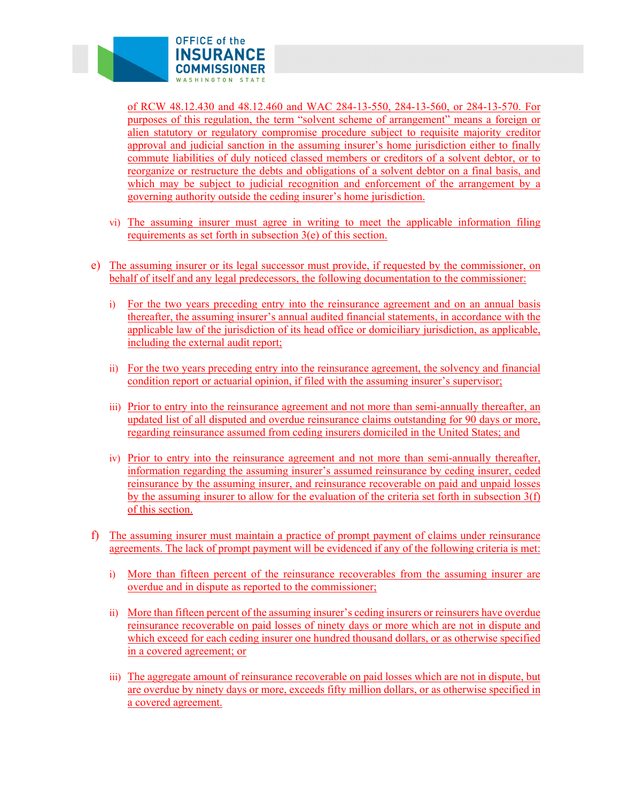

of RCW 48.12.430 and 48.12.460 and WAC 284-13-550, 284-13-560, or 284-13-570. For purposes of this regulation, the term "solvent scheme of arrangement" means a foreign or alien statutory or regulatory compromise procedure subject to requisite majority creditor approval and judicial sanction in the assuming insurer's home jurisdiction either to finally commute liabilities of duly noticed classed members or creditors of a solvent debtor, or to reorganize or restructure the debts and obligations of a solvent debtor on a final basis, and which may be subject to judicial recognition and enforcement of the arrangement by a governing authority outside the ceding insurer's home jurisdiction.

- vi) The assuming insurer must agree in writing to meet the applicable information filing requirements as set forth in subsection 3(e) of this section.
- e) The assuming insurer or its legal successor must provide, if requested by the commissioner, on behalf of itself and any legal predecessors, the following documentation to the commissioner:
	- i) For the two years preceding entry into the reinsurance agreement and on an annual basis thereafter, the assuming insurer's annual audited financial statements, in accordance with the applicable law of the jurisdiction of its head office or domiciliary jurisdiction, as applicable, including the external audit report;
	- ii) For the two years preceding entry into the reinsurance agreement, the solvency and financial condition report or actuarial opinion, if filed with the assuming insurer's supervisor;
	- iii) Prior to entry into the reinsurance agreement and not more than semi-annually thereafter, an updated list of all disputed and overdue reinsurance claims outstanding for 90 days or more, regarding reinsurance assumed from ceding insurers domiciled in the United States; and
	- iv) Prior to entry into the reinsurance agreement and not more than semi-annually thereafter, information regarding the assuming insurer's assumed reinsurance by ceding insurer, ceded reinsurance by the assuming insurer, and reinsurance recoverable on paid and unpaid losses by the assuming insurer to allow for the evaluation of the criteria set forth in subsection 3(f) of this section.
- f) The assuming insurer must maintain a practice of prompt payment of claims under reinsurance agreements. The lack of prompt payment will be evidenced if any of the following criteria is met:
	- i) More than fifteen percent of the reinsurance recoverables from the assuming insurer are overdue and in dispute as reported to the commissioner;
	- ii) More than fifteen percent of the assuming insurer's ceding insurers or reinsurers have overdue reinsurance recoverable on paid losses of ninety days or more which are not in dispute and which exceed for each ceding insurer one hundred thousand dollars, or as otherwise specified in a covered agreement; or
	- iii) The aggregate amount of reinsurance recoverable on paid losses which are not in dispute, but are overdue by ninety days or more, exceeds fifty million dollars, or as otherwise specified in a covered agreement.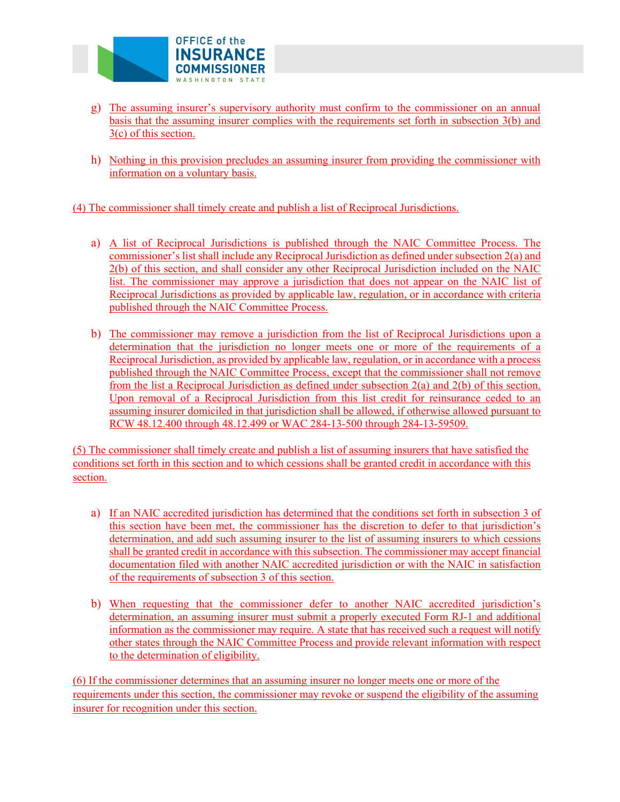

- g) The assuming insurer's supervisory authority must confirm to the commissioner on an annual basis that the assuming insurer complies with the requirements set forth in subsection 3(b) and 3(c) of this section.
- h) Nothing in this provision precludes an assuming insurer from providing the commissioner with information on a voluntary basis.

(4) The commissioner shall timely create and publish a list of Reciprocal Jurisdictions.

- a) A list of Reciprocal Jurisdictions is published through the NAIC Committee Process. The commissioner's list shall include any Reciprocal Jurisdiction as defined under subsection 2(a) and 2(b) of this section, and shall consider any other Reciprocal Jurisdiction included on the NAIC list. The commissioner may approve a jurisdiction that does not appear on the NAIC list of Reciprocal Jurisdictions as provided by applicable law, regulation, or in accordance with criteria published through the NAIC Committee Process.
- b) The commissioner may remove a jurisdiction from the list of Reciprocal Jurisdictions upon a determination that the jurisdiction no longer meets one or more of the requirements of a Reciprocal Jurisdiction, as provided by applicable law, regulation, or in accordance with a process published through the NAIC Committee Process, except that the commissioner shall not remove from the list a Reciprocal Jurisdiction as defined under subsection 2(a) and 2(b) of this section. Upon removal of a Reciprocal Jurisdiction from this list credit for reinsurance ceded to an assuming insurer domiciled in that jurisdiction shall be allowed, if otherwise allowed pursuant to RCW 48.12.400 through 48.12.499 or WAC 284-13-500 through 284-13-59509.

(5) The commissioner shall timely create and publish a list of assuming insurers that have satisfied the conditions set forth in this section and to which cessions shall be granted credit in accordance with this section.

- a) If an NAIC accredited jurisdiction has determined that the conditions set forth in subsection 3 of this section have been met, the commissioner has the discretion to defer to that jurisdiction's determination, and add such assuming insurer to the list of assuming insurers to which cessions shall be granted credit in accordance with this subsection. The commissioner may accept financial documentation filed with another NAIC accredited jurisdiction or with the NAIC in satisfaction of the requirements of subsection 3 of this section.
- b) When requesting that the commissioner defer to another NAIC accredited jurisdiction's determination, an assuming insurer must submit a properly executed Form RJ-1 and additional information as the commissioner may require. A state that has received such a request will notify other states through the NAIC Committee Process and provide relevant information with respect to the determination of eligibility.

(6) If the commissioner determines that an assuming insurer no longer meets one or more of the requirements under this section, the commissioner may revoke or suspend the eligibility of the assuming insurer for recognition under this section.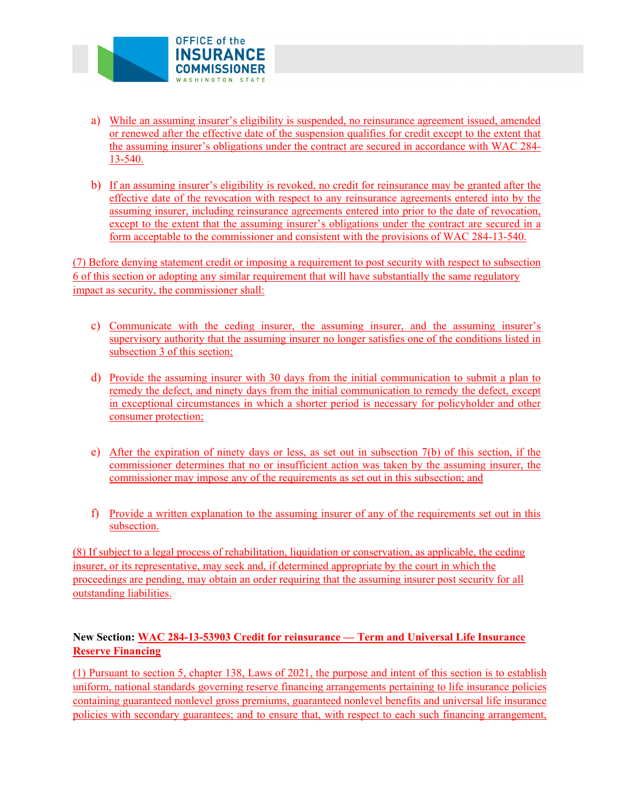

- a) While an assuming insurer's eligibility is suspended, no reinsurance agreement issued, amended or renewed after the effective date of the suspension qualifies for credit except to the extent that the assuming insurer's obligations under the contract are secured in accordance with WAC 284- 13-540.
- b) If an assuming insurer's eligibility is revoked, no credit for reinsurance may be granted after the effective date of the revocation with respect to any reinsurance agreements entered into by the assuming insurer, including reinsurance agreements entered into prior to the date of revocation, except to the extent that the assuming insurer's obligations under the contract are secured in a form acceptable to the commissioner and consistent with the provisions of WAC 284-13-540.

(7) Before denying statement credit or imposing a requirement to post security with respect to subsection 6 of this section or adopting any similar requirement that will have substantially the same regulatory impact as security, the commissioner shall:

- c) Communicate with the ceding insurer, the assuming insurer, and the assuming insurer's supervisory authority that the assuming insurer no longer satisfies one of the conditions listed in subsection 3 of this section;
- d) Provide the assuming insurer with 30 days from the initial communication to submit a plan to remedy the defect, and ninety days from the initial communication to remedy the defect, except in exceptional circumstances in which a shorter period is necessary for policyholder and other consumer protection;
- e) After the expiration of ninety days or less, as set out in subsection 7(b) of this section, if the commissioner determines that no or insufficient action was taken by the assuming insurer, the commissioner may impose any of the requirements as set out in this subsection; and
- f) Provide a written explanation to the assuming insurer of any of the requirements set out in this subsection.

(8) If subject to a legal process of rehabilitation, liquidation or conservation, as applicable, the ceding insurer, or its representative, may seek and, if determined appropriate by the court in which the proceedings are pending, may obtain an order requiring that the assuming insurer post security for all outstanding liabilities.

# **New Section: WAC 284-13-53903 Credit for reinsurance — Term and Universal Life Insurance Reserve Financing**

(1) Pursuant to section 5, chapter 138, Laws of 2021, the purpose and intent of this section is to establish uniform, national standards governing reserve financing arrangements pertaining to life insurance policies containing guaranteed nonlevel gross premiums, guaranteed nonlevel benefits and universal life insurance policies with secondary guarantees; and to ensure that, with respect to each such financing arrangement,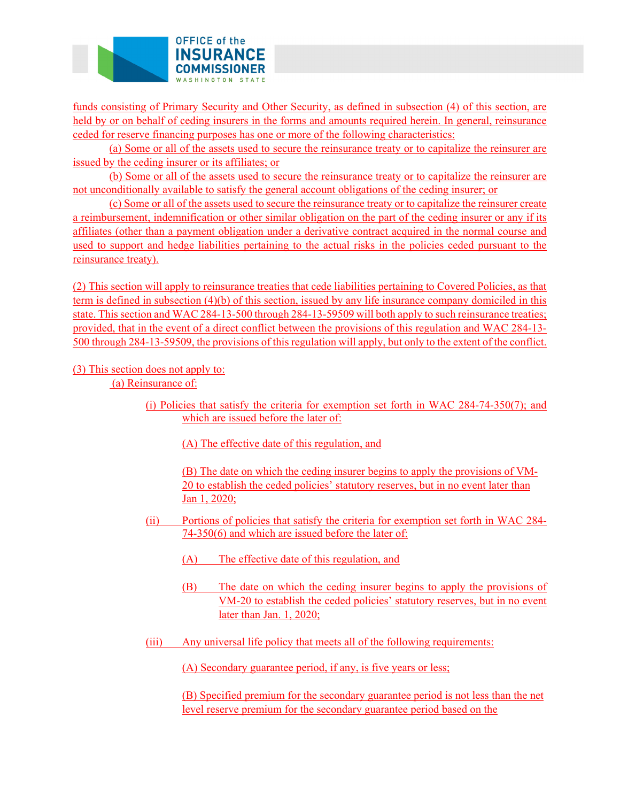

funds consisting of Primary Security and Other Security, as defined in subsection (4) of this section, are held by or on behalf of ceding insurers in the forms and amounts required herein. In general, reinsurance ceded for reserve financing purposes has one or more of the following characteristics:

(a) Some or all of the assets used to secure the reinsurance treaty or to capitalize the reinsurer are issued by the ceding insurer or its affiliates; or

not unconditionally available to satisfy the general account obligations of the ceding insurer; or (b) Some or all of the assets used to secure the reinsurance treaty or to capitalize the reinsurer are

not unconditionally available to satisfy the general account obligations of the ceding insurer; or (c) Some or all of the assets used to secure the reinsurance treaty or to capitalize the reinsurer create a reimbursement, indemnification or other similar obligation on the part of the ceding insurer or any if its affiliates (other than a payment obligation under a derivative contract acquired in the normal course and used to support and hedge liabilities pertaining to the actual risks in the policies ceded pursuant to the reinsurance treaty).

500 through 284-13-59509, the provisions of this regulation will apply, but only to the extent of the conflict.<br>(3) This section does not apply to: (2) This section will apply to reinsurance treaties that cede liabilities pertaining to Covered Policies, as that term is defined in subsection (4)(b) of this section, issued by any life insurance company domiciled in this state. This section and WAC 284-13-500 through 284-13-59509 will both apply to such reinsurance treaties; provided, that in the event of a direct conflict between the provisions of this regulation and WAC 284-13-

(a) Reinsurance of:

(i) Policies that satisfy the criteria for exemption set forth in WAC 284-74-350(7); and which are issued before the later of:

(A) The effective date of this regulation, and

(B) The date on which the ceding insurer begins to apply the provisions of VM-20 to establish the ceded policies' statutory reserves, but in no event later than Jan 1, 2020;

- (ii) Portions of policies that satisfy the criteria for exemption set forth in WAC 284- 74-350(6) and which are issued before the later of:
	- (A) The effective date of this regulation, and
	- (B) The date on which the ceding insurer begins to apply the provisions of VM-20 to establish the ceded policies' statutory reserves, but in no event later than Jan. 1, 2020;
- (iii) Any universal life policy that meets all of the following requirements:

(A) Secondary guarantee period, if any, is five years or less;

(B) Specified premium for the secondary guarantee period is not less than the net level reserve premium for the secondary guarantee period based on the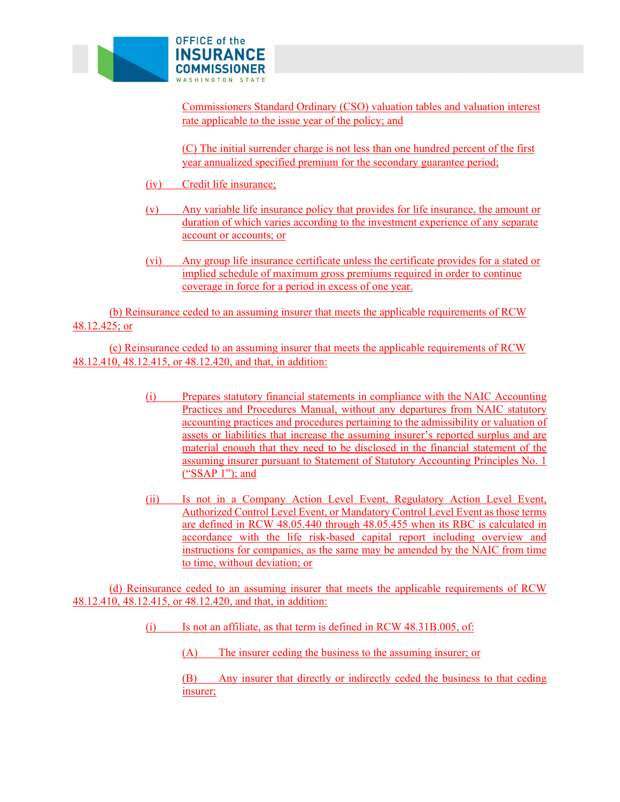

Commissioners Standard Ordinary (CSO) valuation tables and valuation interest rate applicable to the issue year of the policy; and

(C) The initial surrender charge is not less than one hundred percent of the first year annualized specified premium for the secondary guarantee period;

- (iv) Credit life insurance;
- (v) Any variable life insurance policy that provides for life insurance, the amount or duration of which varies according to the investment experience of any separate account or accounts; or
- (vi) Any group life insurance certificate unless the certificate provides for a stated or implied schedule of maximum gross premiums required in order to continue coverage in force for a period in excess of one year.

(b) Reinsurance ceded to an assuming insurer that meets the applicable requirements of RCW 48.12.425; or

(c) Reinsurance ceded to an assuming insurer that meets the applicable requirements of RCW 48.12.410, 48.12.415, or 48.12.420, and that, in addition:

- (i) Prepares statutory financial statements in compliance with the NAIC Accounting Practices and Procedures Manual, without any departures from NAIC statutory accounting practices and procedures pertaining to the admissibility or valuation of assets or liabilities that increase the assuming insurer's reported surplus and are material enough that they need to be disclosed in the financial statement of the assuming insurer pursuant to Statement of Statutory Accounting Principles No. 1 ("SSAP 1"); and
- (ii) Is not in a Company Action Level Event, Regulatory Action Level Event, Authorized Control Level Event, or Mandatory Control Level Event as those terms are defined in RCW 48.05.440 through 48.05.455 when its RBC is calculated in accordance with the life risk-based capital report including overview and instructions for companies, as the same may be amended by the NAIC from time to time, without deviation; or

(d) Reinsurance ceded to an assuming insurer that meets the applicable requirements of RCW 48.12.410, 48.12.415, or 48.12.420, and that, in addition:

- (i) Is not an affiliate, as that term is defined in RCW 48.31B.005, of:
	- (A) The insurer ceding the business to the assuming insurer; or

(B) Any insurer that directly or indirectly ceded the business to that ceding insurer;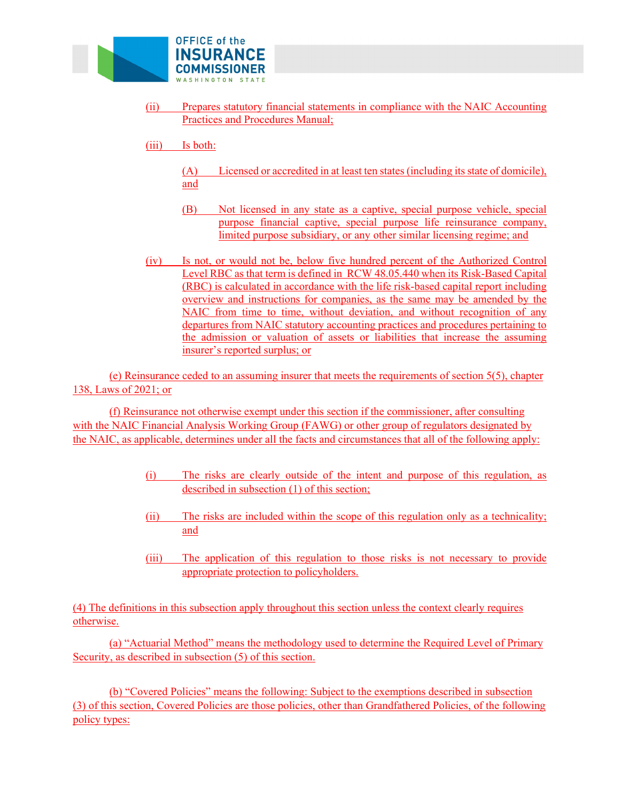

- (ii) Prepares statutory financial statements in compliance with the NAIC Accounting Practices and Procedures Manual;
- (iii) Is both:
	- (A) Licensed or accredited in at least ten states (including its state of domicile), and
	- (B) Not licensed in any state as a captive, special purpose vehicle, special purpose financial captive, special purpose life reinsurance company, limited purpose subsidiary, or any other similar licensing regime; and
- (iv) Is not, or would not be, below five hundred percent of the Authorized Control Level RBC as that term is defined in RCW 48.05.440 when its Risk-Based Capital (RBC) is calculated in accordance with the life risk-based capital report including overview and instructions for companies, as the same may be amended by the NAIC from time to time, without deviation, and without recognition of any departures from NAIC statutory accounting practices and procedures pertaining to the admission or valuation of assets or liabilities that increase the assuming insurer's reported surplus; or

(e) Reinsurance ceded to an assuming insurer that meets the requirements of section 5(5), chapter 138, Laws of 2021; or

(f) Reinsurance not otherwise exempt under this section if the commissioner, after consulting with the NAIC Financial Analysis Working Group (FAWG) or other group of regulators designated by the NAIC, as applicable, determines under all the facts and circumstances that all of the following apply:

- (i) The risks are clearly outside of the intent and purpose of this regulation, as described in subsection (1) of this section;
- (ii) The risks are included within the scope of this regulation only as a technicality; and
- (iii) The application of this regulation to those risks is not necessary to provide appropriate protection to policyholders.

(4) The definitions in this subsection apply throughout this section unless the context clearly requires otherwise.

(a) "Actuarial Method" means the methodology used to determine the Required Level of Primary Security, as described in subsection (5) of this section.

(b) "Covered Policies" means the following: Subject to the exemptions described in subsection (3) of this section, Covered Policies are those policies, other than Grandfathered Policies, of the following policy types: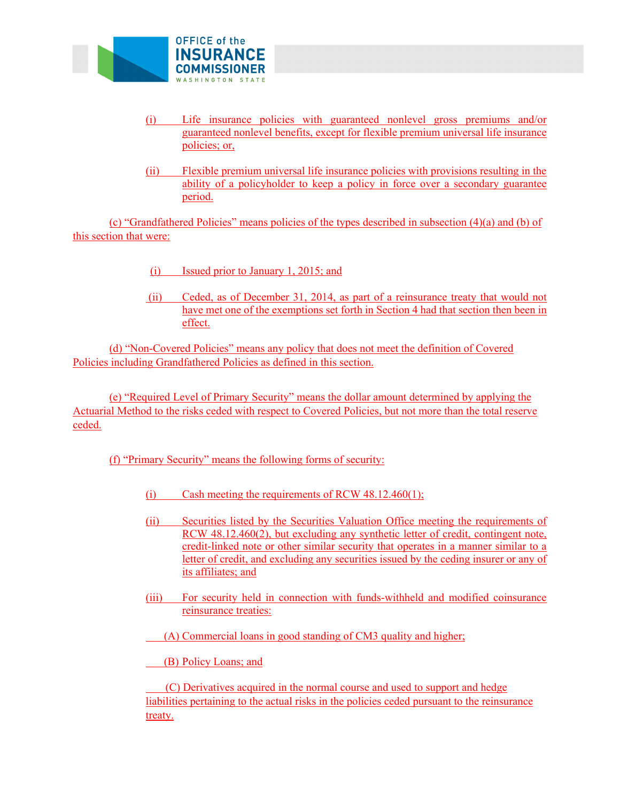

- (i) Life insurance policies with guaranteed nonlevel gross premiums and/or guaranteed nonlevel benefits, except for flexible premium universal life insurance policies; or,
- (ii) Flexible premium universal life insurance policies with provisions resulting in the ability of a policyholder to keep a policy in force over a secondary guarantee period.

(c) "Grandfathered Policies" means policies of the types described in subsection (4)(a) and (b) of this section that were:

- (i) Issued prior to January 1, 2015; and
- (ii) Ceded, as of December 31, 2014, as part of a reinsurance treaty that would not have met one of the exemptions set forth in Section 4 had that section then been in effect.

(d) "Non-Covered Policies" means any policy that does not meet the definition of Covered Policies including Grandfathered Policies as defined in this section.

(e) "Required Level of Primary Security" means the dollar amount determined by applying the Actuarial Method to the risks ceded with respect to Covered Policies, but not more than the total reserve ceded.

## (f) "Primary Security" means the following forms of security:

- (i) Cash meeting the requirements of RCW 48.12.460(1);
- (ii) Securities listed by the Securities Valuation Office meeting the requirements of RCW 48.12.460(2), but excluding any synthetic letter of credit, contingent note, credit-linked note or other similar security that operates in a manner similar to a letter of credit, and excluding any securities issued by the ceding insurer or any of its affiliates; and
- (iii) For security held in connection with funds-withheld and modified coinsurance reinsurance treaties:

(A) Commercial loans in good standing of CM3 quality and higher;

(B) Policy Loans; and

(C) Derivatives acquired in the normal course and used to support and hedge liabilities pertaining to the actual risks in the policies ceded pursuant to the reinsurance treaty.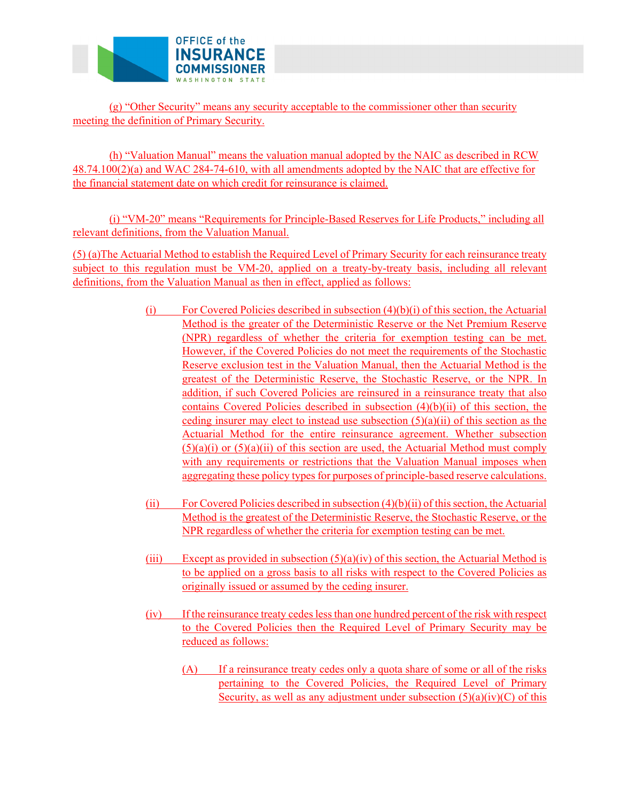

(g) "Other Security" means any security acceptable to the commissioner other than security meeting the definition of Primary Security.

(h) "Valuation Manual" means the valuation manual adopted by the NAIC as described in RCW 48.74.100(2)(a) and WAC 284-74-610, with all amendments adopted by the NAIC that are effective for the financial statement date on which credit for reinsurance is claimed.

(i) "VM-20" means "Requirements for Principle-Based Reserves for Life Products," including all relevant definitions, from the Valuation Manual.

(5) (a)The Actuarial Method to establish the Required Level of Primary Security for each reinsurance treaty subject to this regulation must be VM-20, applied on a treaty-by-treaty basis, including all relevant definitions, from the Valuation Manual as then in effect, applied as follows:

- (i) For Covered Policies described in subsection  $(4)(b)(i)$  of this section, the Actuarial Method is the greater of the Deterministic Reserve or the Net Premium Reserve (NPR) regardless of whether the criteria for exemption testing can be met. However, if the Covered Policies do not meet the requirements of the Stochastic Reserve exclusion test in the Valuation Manual, then the Actuarial Method is the greatest of the Deterministic Reserve, the Stochastic Reserve, or the NPR. In addition, if such Covered Policies are reinsured in a reinsurance treaty that also contains Covered Policies described in subsection (4)(b)(ii) of this section, the ceding insurer may elect to instead use subsection  $(5)(a)(ii)$  of this section as the Actuarial Method for the entire reinsurance agreement. Whether subsection  $(5)(a)(i)$  or  $(5)(a)(ii)$  of this section are used, the Actuarial Method must comply with any requirements or restrictions that the Valuation Manual imposes when aggregating these policy types for purposes of principle-based reserve calculations.
- (ii) For Covered Policies described in subsection  $(4)(b)(ii)$  of this section, the Actuarial Method is the greatest of the Deterministic Reserve, the Stochastic Reserve, or the NPR regardless of whether the criteria for exemption testing can be met.
- (iii) Except as provided in subsection  $(5)(a)(iv)$  of this section, the Actuarial Method is to be applied on a gross basis to all risks with respect to the Covered Policies as originally issued or assumed by the ceding insurer.
- (iv) If the reinsurance treaty cedes less than one hundred percent of the risk with respect to the Covered Policies then the Required Level of Primary Security may be reduced as follows:
	- (A) If a reinsurance treaty cedes only a quota share of some or all of the risks pertaining to the Covered Policies, the Required Level of Primary Security, as well as any adjustment under subsection  $(5)(a)(iv)(C)$  of this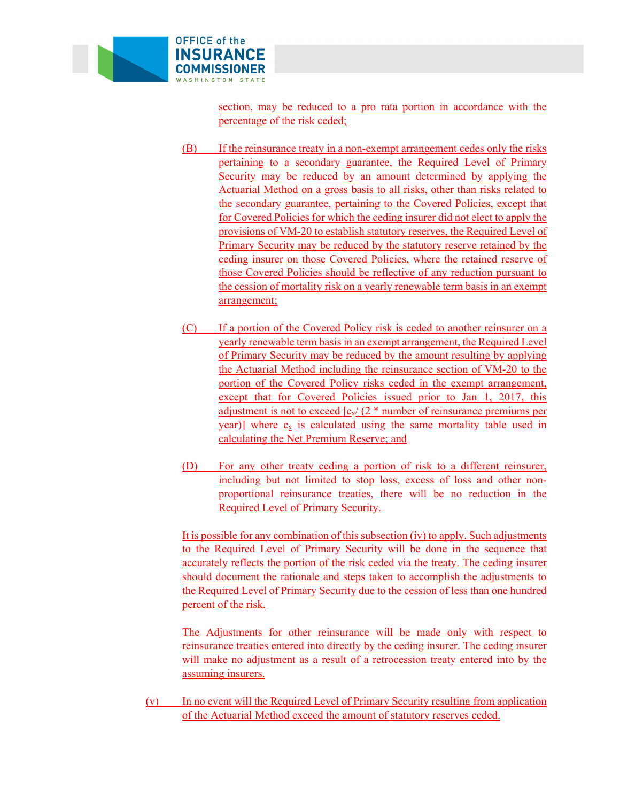

section, may be reduced to a pro rata portion in accordance with the percentage of the risk ceded;

- (B) If the reinsurance treaty in a non-exempt arrangement cedes only the risks pertaining to a secondary guarantee, the Required Level of Primary Security may be reduced by an amount determined by applying the Actuarial Method on a gross basis to all risks, other than risks related to the secondary guarantee, pertaining to the Covered Policies, except that for Covered Policies for which the ceding insurer did not elect to apply the provisions of VM-20 to establish statutory reserves, the Required Level of Primary Security may be reduced by the statutory reserve retained by the ceding insurer on those Covered Policies, where the retained reserve of those Covered Policies should be reflective of any reduction pursuant to the cession of mortality risk on a yearly renewable term basis in an exempt arrangement;
- (C) If a portion of the Covered Policy risk is ceded to another reinsurer on a yearly renewable term basis in an exempt arrangement, the Required Level of Primary Security may be reduced by the amount resulting by applying the Actuarial Method including the reinsurance section of VM-20 to the portion of the Covered Policy risks ceded in the exempt arrangement, except that for Covered Policies issued prior to Jan 1, 2017, this adjustment is not to exceed  $\left[\frac{c_x}{2} \right]$  at number of reinsurance premiums per year)] where  $c_x$  is calculated using the same mortality table used in calculating the Net Premium Reserve; and
- Required Level of Primary Security. (D) For any other treaty ceding a portion of risk to a different reinsurer, including but not limited to stop loss, excess of loss and other nonproportional reinsurance treaties, there will be no reduction in the

It is possible for any combination of this subsection (iv) to apply. Such adjustments to the Required Level of Primary Security will be done in the sequence that accurately reflects the portion of the risk ceded via the treaty. The ceding insurer should document the rationale and steps taken to accomplish the adjustments to the Required Level of Primary Security due to the cession of less than one hundred percent of the risk.

The Adjustments for other reinsurance will be made only with respect to reinsurance treaties entered into directly by the ceding insurer. The ceding insurer will make no adjustment as a result of a retrocession treaty entered into by the assuming insurers.

(v) In no event will the Required Level of Primary Security resulting from application of the Actuarial Method exceed the amount of statutory reserves ceded.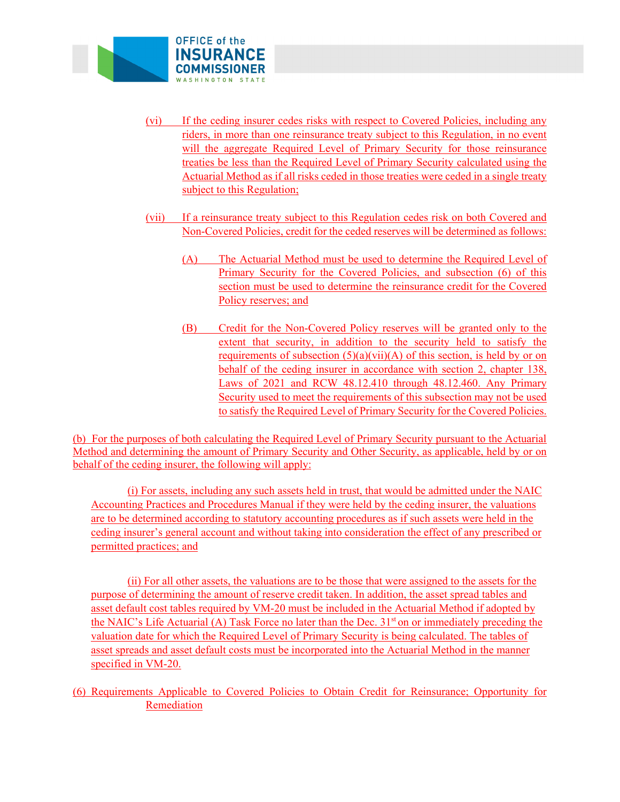

- (vi) If the ceding insurer cedes risks with respect to Covered Policies, including any riders, in more than one reinsurance treaty subject to this Regulation, in no event will the aggregate Required Level of Primary Security for those reinsurance treaties be less than the Required Level of Primary Security calculated using the Actuarial Method as if all risks ceded in those treaties were ceded in a single treaty subject to this Regulation;
- (vii) If a reinsurance treaty subject to this Regulation cedes risk on both Covered and Non-Covered Policies, credit for the ceded reserves will be determined as follows:
	- (A) The Actuarial Method must be used to determine the Required Level of Primary Security for the Covered Policies, and subsection (6) of this section must be used to determine the reinsurance credit for the Covered Policy reserves; and
	- (B) Credit for the Non-Covered Policy reserves will be granted only to the extent that security, in addition to the security held to satisfy the requirements of subsection  $(5)(a)(vii)(A)$  of this section, is held by or on behalf of the ceding insurer in accordance with section 2, chapter 138, Laws of 2021 and RCW 48.12.410 through 48.12.460. Any Primary Security used to meet the requirements of this subsection may not be used to satisfy the Required Level of Primary Security for the Covered Policies.

behalf of the ceding insurer, the following will apply: (b) For the purposes of both calculating the Required Level of Primary Security pursuant to the Actuarial Method and determining the amount of Primary Security and Other Security, as applicable, held by or on

behalf of the ceding insurer, the following will apply: (i) For assets, including any such assets held in trust, that would be admitted under the NAIC Accounting Practices and Procedures Manual if they were held by the ceding insurer, the valuations are to be determined according to statutory accounting procedures as if such assets were held in the ceding insurer's general account and without taking into consideration the effect of any prescribed or permitted practices; and

(ii) For all other assets, the valuations are to be those that were assigned to the assets for the purpose of determining the amount of reserve credit taken. In addition, the asset spread tables and asset default cost tables required by VM-20 must be included in the Actuarial Method if adopted by the NAIC's Life Actuarial (A) Task Force no later than the Dec.  $31<sup>st</sup>$  on or immediately preceding the valuation date for which the Required Level of Primary Security is being calculated. The tables of asset spreads and asset default costs must be incorporated into the Actuarial Method in the manner specified in VM-20.

(6) Requirements Applicable to Covered Policies to Obtain Credit for Reinsurance; Opportunity for Remediation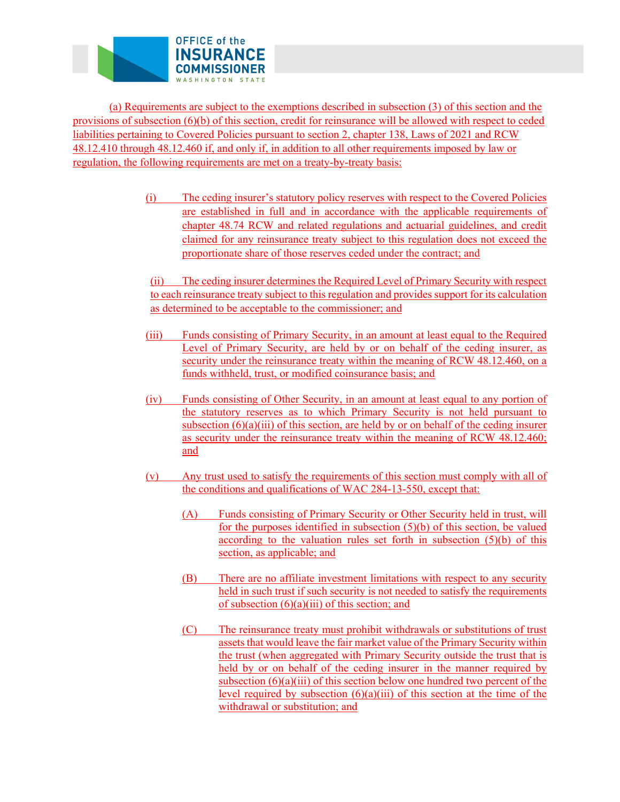

(a) Requirements are subject to the exemptions described in subsection (3) of this section and the provisions of subsection (6)(b) of this section, credit for reinsurance will be allowed with respect to ceded liabilities pertaining to Covered Policies pursuant to section 2, chapter 138, Laws of 2021 and RCW 48.12.410 through 48.12.460 if, and only if, in addition to all other requirements imposed by law or regulation, the following requirements are met on a treaty-by-treaty basis:

> (i) The ceding insurer's statutory policy reserves with respect to the Covered Policies are established in full and in accordance with the applicable requirements of chapter 48.74 RCW and related regulations and actuarial guidelines, and credit claimed for any reinsurance treaty subject to this regulation does not exceed the proportionate share of those reserves ceded under the contract; and

(ii) The ceding insurer determines the Required Level of Primary Security with respect to each reinsurance treaty subject to this regulation and provides support for its calculation as determined to be acceptable to the commissioner; and

- (iii) Funds consisting of Primary Security, in an amount at least equal to the Required Level of Primary Security, are held by or on behalf of the ceding insurer, as security under the reinsurance treaty within the meaning of RCW 48.12.460, on a funds withheld, trust, or modified coinsurance basis; and
- (iv) Funds consisting of Other Security, in an amount at least equal to any portion of the statutory reserves as to which Primary Security is not held pursuant to subsection  $(6)(a)(iii)$  of this section, are held by or on behalf of the ceding insurer as security under the reinsurance treaty within the meaning of RCW 48.12.460; and
- (v) Any trust used to satisfy the requirements of this section must comply with all of the conditions and qualifications of WAC 284-13-550, except that:
	- (A) Funds consisting of Primary Security or Other Security held in trust, will for the purposes identified in subsection (5)(b) of this section, be valued according to the valuation rules set forth in subsection (5)(b) of this section, as applicable; and
	- of subsection  $(6)(a)(iii)$  of this section; and (B) There are no affiliate investment limitations with respect to any security held in such trust if such security is not needed to satisfy the requirements
	- $(C)$  The reinsurance treaty must prohibit withdrawals or substitutions of trust assets that would leave the fair market value of the Primary Security within the trust (when aggregated with Primary Security outside the trust that is held by or on behalf of the ceding insurer in the manner required by subsection  $(6)(a)(iii)$  of this section below one hundred two percent of the level required by subsection  $(6)(a)(iii)$  of this section at the time of the withdrawal or substitution; and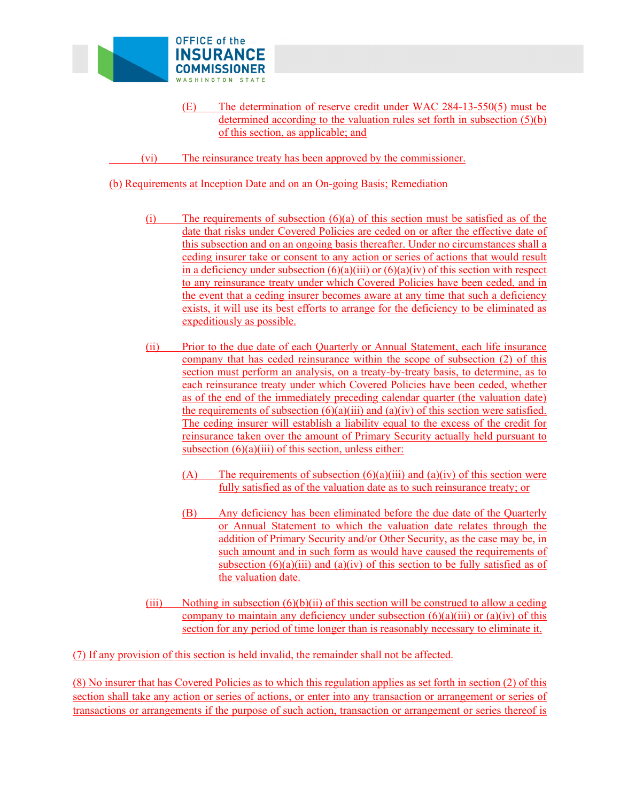

- (E) The determination of reserve credit under WAC 284-13-550(5) must be determined according to the valuation rules set forth in subsection (5)(b) of this section, as applicable; and
- (vi) The reinsurance treaty has been approved by the commissioner.

(b) Requirements at Inception Date and on an On-going Basis; Remediation

- $(i)$  The requirements of subsection  $(6)(a)$  of this section must be satisfied as of the date that risks under Covered Policies are ceded on or after the effective date of this subsection and on an ongoing basis thereafter. Under no circumstances shall a ceding insurer take or consent to any action or series of actions that would result in a deficiency under subsection  $(6)(a)(iii)$  or  $(6)(a)(iv)$  of this section with respect to any reinsurance treaty under which Covered Policies have been ceded, and in the event that a ceding insurer becomes aware at any time that such a deficiency exists, it will use its best efforts to arrange for the deficiency to be eliminated as expeditiously as possible.
- (ii) Prior to the due date of each Quarterly or Annual Statement, each life insurance company that has ceded reinsurance within the scope of subsection (2) of this section must perform an analysis, on a treaty-by-treaty basis, to determine, as to each reinsurance treaty under which Covered Policies have been ceded, whether as of the end of the immediately preceding calendar quarter (the valuation date) the requirements of subsection  $(6)(a)(iii)$  and  $(a)(iv)$  of this section were satisfied. The ceding insurer will establish a liability equal to the excess of the credit for reinsurance taken over the amount of Primary Security actually held pursuant to subsection  $(6)(a)(iii)$  of this section, unless either:
	- (A) The requirements of subsection  $(6)(a)(iii)$  and  $(a)(iv)$  of this section were fully satisfied as of the valuation date as to such reinsurance treaty; or
	- (B) Any deficiency has been eliminated before the due date of the Quarterly or Annual Statement to which the valuation date relates through the addition of Primary Security and/or Other Security, as the case may be, in such amount and in such form as would have caused the requirements of subsection  $(6)(a)(iii)$  and  $(a)(iv)$  of this section to be fully satisfied as of the valuation date.
- (iii) Nothing in subsection  $(6)(b)(ii)$  of this section will be construed to allow a ceding company to maintain any deficiency under subsection  $(6)(a)(iii)$  or  $(a)(iv)$  of this section for any period of time longer than is reasonably necessary to eliminate it.

(7) If any provision of this section is held invalid, the remainder shall not be affected.

(8) No insurer that has Covered Policies as to which this regulation applies as set forth in section (2) of this section shall take any action or series of actions, or enter into any transaction or arrangement or series of transactions or arrangements if the purpose of such action, transaction or arrangement or series thereof is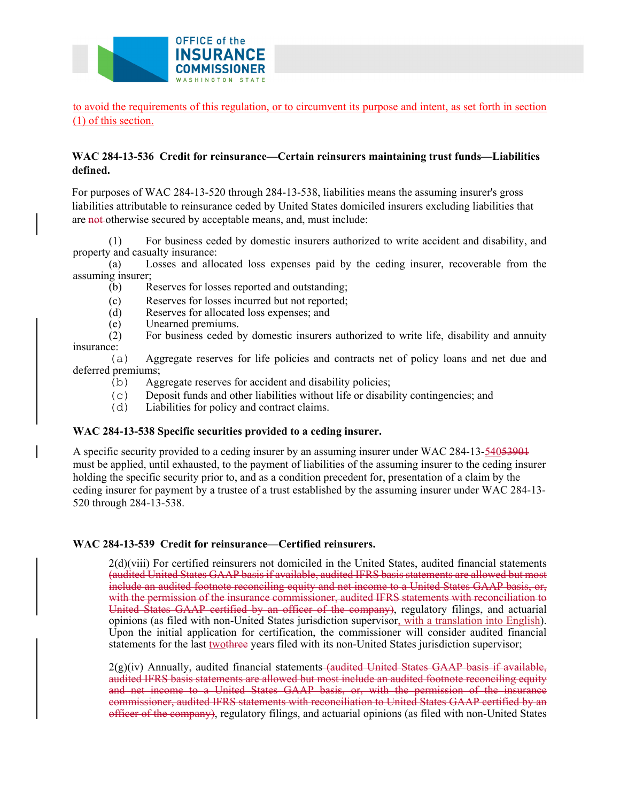

to avoid the requirements of this regulation, or to circumvent its purpose and intent, as set forth in section (1) of this section.

## **defined. WAC 284-13-536 Credit for reinsurance—Certain reinsurers maintaining trust funds—Liabilities**

For purposes of WAC 284-13-520 through 284-13-538, liabilities means the assuming insurer's gross liabilities attributable to reinsurance ceded by United States domiciled insurers excluding liabilities that are not-otherwise secured by acceptable means, and, must include:

(1) For business ceded by domestic insurers authorized to write accident and disability, and property and casualty insurance:

(a) Losses and allocated loss expenses paid by the ceding insurer, recoverable from the assuming insurer;

- (b) Reserves for losses reported and outstanding;
- (c) Reserves for losses incurred but not reported;
- (d) Reserves for allocated loss expenses; and
- 

(e) Unearned premiums.<br>(2) For business ceded b For business ceded by domestic insurers authorized to write life, disability and annuity insurance:

(a) Aggregate reserves for life policies and contracts net of policy loans and net due and deferred premiums;

- (b) Aggregate reserves for accident and disability policies;
- (c) Deposit funds and other liabilities without life or disability contingencies; and  $(d)$  Liabilities for policy and contract claims.
- Liabilities for policy and contract claims.

## **WAC 284-13-538 Specific securities provided to a ceding insurer.**

A specific security provided to a ceding insurer by an assuming insurer under WAC 284-13-54053901 must be applied, until exhausted, to the payment of liabilities of the assuming insurer to the ceding insurer holding the specific security prior to, and as a condition precedent for, presentation of a claim by the ceding insurer for payment by a trustee of a trust established by the assuming insurer under WAC 284-13- 520 through 284-13-538.

#### **WAC 284-13-539 Credit for reinsurance—Certified reinsurers.**

2(d)(viii) For certified reinsurers not domiciled in the United States, audited financial statements (audited United States GAAP basis if available, audited IFRS basis statements are allowed but most include an audited footnote reconciling equity and net income to a United States GAAP basis, or, with the permission of the insurance commissioner, audited IFRS statements with reconciliation to United States GAAP certified by an officer of the company), regulatory filings, and actuarial opinions (as filed with non-United States jurisdiction supervisor, with a translation into English). Upon the initial application for certification, the commissioner will consider audited financial statements for the last two three years filed with its non-United States jurisdiction supervisor;

2(g)(iv) Annually, audited financial statements (audited United States GAAP basis if available, audited IFRS basis statements are allowed but most include an audited footnote reconciling equity and net income to a United States GAAP basis, or, with the permission of the insurance commissioner, audited IFRS statements with reconciliation to United States GAAP certified by an officer of the company), regulatory filings, and actuarial opinions (as filed with non-United States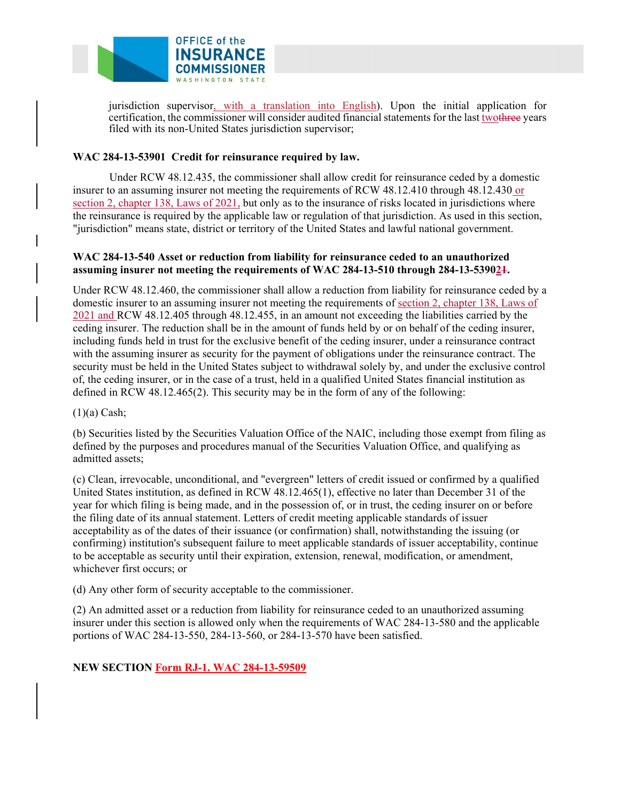

jurisdiction supervisor, with a translation into English). Upon the initial application for certification, the commissioner will consider audited financial statements for the last two three years filed with its non-United States jurisdiction supervisor;

## **WAC 284-13-53901 Credit for reinsurance required by law.**

Under RCW 48.12.435, the commissioner shall allow credit for reinsurance ceded by a domestic insurer to an assuming insurer not meeting the requirements of RCW 48.12.410 through 48.12.430 or section 2, chapter 138, Laws of 2021, but only as to the insurance of risks located in jurisdictions where the reinsurance is required by the applicable law or regulation of that jurisdiction. As used in this section, "jurisdiction" means state, district or territory of the United States and lawful national government.

## **WAC 284-13-540 Asset or reduction from liability for reinsurance ceded to an unauthorized assuming insurer not meeting the requirements of WAC 284-13-510 through 284-13-539021.**

Under RCW 48.12.460, the commissioner shall allow a reduction from liability for reinsurance ceded by a domestic insurer to an assuming insurer not meeting the requirements of section 2, chapter 138, Laws of 2021 and RCW 48.12.405 through 48.12.455, in an amount not exceeding the liabilities carried by the ceding insurer. The reduction shall be in the amount of funds held by or on behalf of the ceding insurer, including funds held in trust for the exclusive benefit of the ceding insurer, under a reinsurance contract with the assuming insurer as security for the payment of obligations under the reinsurance contract. The security must be held in the United States subject to withdrawal solely by, and under the exclusive control of, the ceding insurer, or in the case of a trust, held in a qualified United States financial institution as defined in RCW 48.12.465(2). This security may be in the form of any of the following:

#### $(1)(a)$  Cash;

(b) Securities listed by the Securities Valuation Office of the NAIC, including those exempt from filing as defined by the purposes and procedures manual of the Securities Valuation Office, and qualifying as admitted assets;

(c) Clean, irrevocable, unconditional, and "evergreen" letters of credit issued or confirmed by a qualified United States institution, as defined in RCW 48.12.465(1), effective no later than December 31 of the year for which filing is being made, and in the possession of, or in trust, the ceding insurer on or before the filing date of its annual statement. Letters of credit meeting applicable standards of issuer acceptability as of the dates of their issuance (or confirmation) shall, notwithstanding the issuing (or confirming) institution's subsequent failure to meet applicable standards of issuer acceptability, continue to be acceptable as security until their expiration, extension, renewal, modification, or amendment, whichever first occurs; or

(d) Any other form of security acceptable to the commissioner.

(2) An admitted asset or a reduction from liability for reinsurance ceded to an unauthorized assuming insurer under this section is allowed only when the requirements of WAC 284-13-580 and the applicable portions of WAC 284-13-550, 284-13-560, or 284-13-570 have been satisfied.

## **NEW SECTION Form RJ-1. WAC 284-13-59509**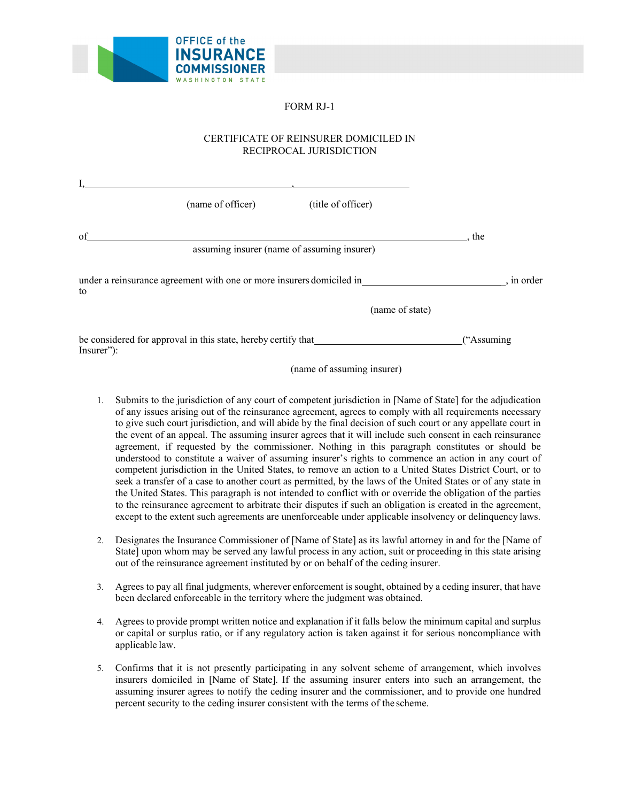

## FORM RJ-1

#### CERTIFICATE OF REINSURER DOMICILED IN RECIPROCAL JURISDICTION

|                                                                             | (name of officer)                                                    | (title of officer)                          |            |
|-----------------------------------------------------------------------------|----------------------------------------------------------------------|---------------------------------------------|------------|
| of                                                                          |                                                                      |                                             | the        |
|                                                                             |                                                                      | assuming insurer (name of assuming insurer) |            |
| to                                                                          | under a reinsurance agreement with one or more insurers domiciled in |                                             | , in order |
|                                                                             |                                                                      | (name of state)                             |            |
| be considered for approval in this state, hereby certify that_<br>Insurer": |                                                                      |                                             | ("Assuming |

(name of assuming insurer)

- agreement, if requested by the commissioner. Nothing in this paragraph constitutes or should be seek a transfer of a case to another court as permitted, by the laws of the United States or of any state in except to the extent such agreements are unenforceable under applicable insolvency or delinquency laws. 1. Submits to the jurisdiction of any court of competent jurisdiction in [Name of State] for the adjudication of any issues arising out of the reinsurance agreement, agrees to comply with all requirements necessary to give such court jurisdiction, and will abide by the final decision of such court or any appellate court in the event of an appeal. The assuming insurer agrees that it will include such consent in each reinsurance understood to constitute a waiver of assuming insurer's rights to commence an action in any court of competent jurisdiction in the United States, to remove an action to a United States District Court, or to the United States. This paragraph is not intended to conflict with or override the obligation of the parties to the reinsurance agreement to arbitrate their disputes if such an obligation is created in the agreement,
- State] upon whom may be served any lawful process in any action, suit or proceeding in this state arising 2. Designates the Insurance Commissioner of [Name of State] as its lawful attorney in and for the [Name of out of the reinsurance agreement instituted by or on behalf of the ceding insurer.
- 3. Agrees to pay all final judgments, wherever enforcement is sought, obtained by a ceding insurer, that have been declared enforceable in the territory where the judgment was obtained.
- 4. Agrees to provide prompt written notice and explanation if it falls below the minimum capital and surplus or capital or surplus ratio, or if any regulatory action is taken against it for serious noncompliance with applicable law.
- insurers domiciled in [Name of State]. If the assuming insurer enters into such an arrangement, the 5. Confirms that it is not presently participating in any solvent scheme of arrangement, which involves assuming insurer agrees to notify the ceding insurer and the commissioner, and to provide one hundred percent security to the ceding insurer consistent with the terms of the scheme.